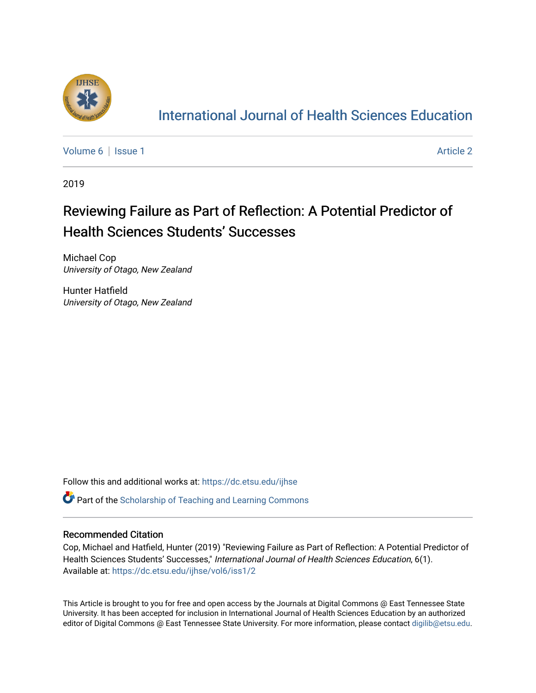

# [International Journal of Health Sciences Education](https://dc.etsu.edu/ijhse)

[Volume 6](https://dc.etsu.edu/ijhse/vol6) | [Issue 1](https://dc.etsu.edu/ijhse/vol6/iss1) Article 2

2019

# Reviewing Failure as Part of Reflection: A Potential Predictor of Health Sciences Students' Successes

Michael Cop University of Otago, New Zealand

Hunter Hatfield University of Otago, New Zealand

Follow this and additional works at: [https://dc.etsu.edu/ijhse](https://dc.etsu.edu/ijhse?utm_source=dc.etsu.edu%2Fijhse%2Fvol6%2Fiss1%2F2&utm_medium=PDF&utm_campaign=PDFCoverPages) 

**Part of the Scholarship of Teaching and Learning Commons** 

#### Recommended Citation

Cop, Michael and Hatfield, Hunter (2019) "Reviewing Failure as Part of Reflection: A Potential Predictor of Health Sciences Students' Successes," International Journal of Health Sciences Education, 6(1). Available at: [https://dc.etsu.edu/ijhse/vol6/iss1/2](https://dc.etsu.edu/ijhse/vol6/iss1/2?utm_source=dc.etsu.edu%2Fijhse%2Fvol6%2Fiss1%2F2&utm_medium=PDF&utm_campaign=PDFCoverPages)

This Article is brought to you for free and open access by the Journals at Digital Commons @ East Tennessee State University. It has been accepted for inclusion in International Journal of Health Sciences Education by an authorized editor of Digital Commons @ East Tennessee State University. For more information, please contact [digilib@etsu.edu](mailto:digilib@etsu.edu).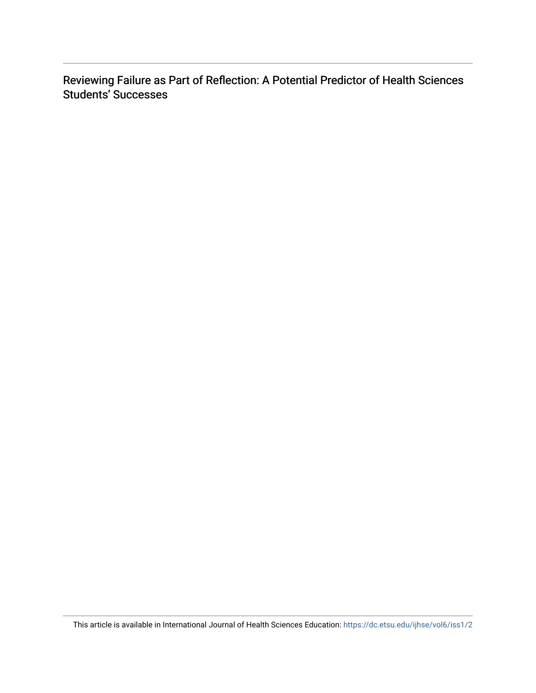Reviewing Failure as Part of Reflection: A Potential Predictor of Health Sciences Students' Successes

This article is available in International Journal of Health Sciences Education:<https://dc.etsu.edu/ijhse/vol6/iss1/2>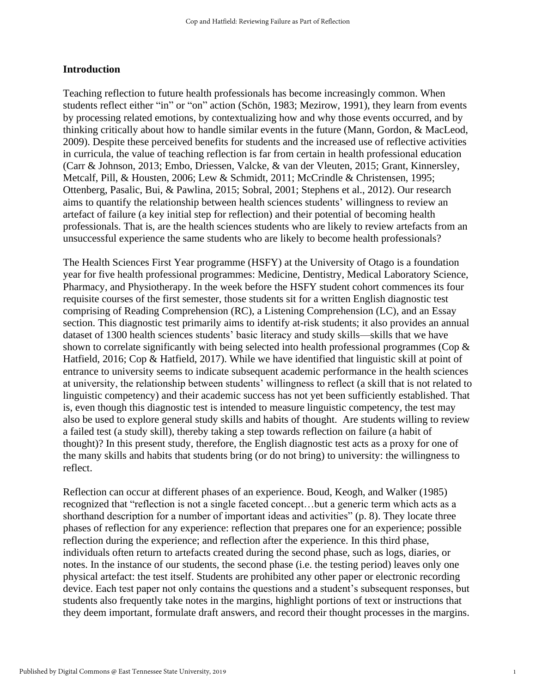#### **Introduction**

Teaching reflection to future health professionals has become increasingly common. When students reflect either "in" or "on" action (Schön, 1983; Mezirow, 1991), they learn from events by processing related emotions, by contextualizing how and why those events occurred, and by thinking critically about how to handle similar events in the future (Mann, Gordon, & MacLeod, 2009). Despite these perceived benefits for students and the increased use of reflective activities in curricula, the value of teaching reflection is far from certain in health professional education (Carr & Johnson, 2013; Embo, Driessen, Valcke, & van der Vleuten, 2015; Grant, Kinnersley, Metcalf, Pill, & Housten, 2006; Lew & Schmidt, 2011; McCrindle & Christensen, 1995; Ottenberg, Pasalic, Bui, & Pawlina, 2015; Sobral, 2001; Stephens et al., 2012). Our research aims to quantify the relationship between health sciences students' willingness to review an artefact of failure (a key initial step for reflection) and their potential of becoming health professionals. That is, are the health sciences students who are likely to review artefacts from an unsuccessful experience the same students who are likely to become health professionals?

The Health Sciences First Year programme (HSFY) at the University of Otago is a foundation year for five health professional programmes: Medicine, Dentistry, Medical Laboratory Science, Pharmacy, and Physiotherapy. In the week before the HSFY student cohort commences its four requisite courses of the first semester, those students sit for a written English diagnostic test comprising of Reading Comprehension (RC), a Listening Comprehension (LC), and an Essay section. This diagnostic test primarily aims to identify at-risk students; it also provides an annual dataset of 1300 health sciences students' basic literacy and study skills—skills that we have shown to correlate significantly with being selected into health professional programmes (Cop & Hatfield, 2016; Cop & Hatfield, 2017). While we have identified that linguistic skill at point of entrance to university seems to indicate subsequent academic performance in the health sciences at university, the relationship between students' willingness to reflect (a skill that is not related to linguistic competency) and their academic success has not yet been sufficiently established. That is, even though this diagnostic test is intended to measure linguistic competency, the test may also be used to explore general study skills and habits of thought. Are students willing to review a failed test (a study skill), thereby taking a step towards reflection on failure (a habit of thought)? In this present study, therefore, the English diagnostic test acts as a proxy for one of the many skills and habits that students bring (or do not bring) to university: the willingness to reflect.

Reflection can occur at different phases of an experience. Boud, Keogh, and Walker (1985) recognized that "reflection is not a single faceted concept…but a generic term which acts as a shorthand description for a number of important ideas and activities" (p. 8). They locate three phases of reflection for any experience: reflection that prepares one for an experience; possible reflection during the experience; and reflection after the experience. In this third phase, individuals often return to artefacts created during the second phase, such as logs, diaries, or notes. In the instance of our students, the second phase (i.e. the testing period) leaves only one physical artefact: the test itself. Students are prohibited any other paper or electronic recording device. Each test paper not only contains the questions and a student's subsequent responses, but students also frequently take notes in the margins, highlight portions of text or instructions that they deem important, formulate draft answers, and record their thought processes in the margins.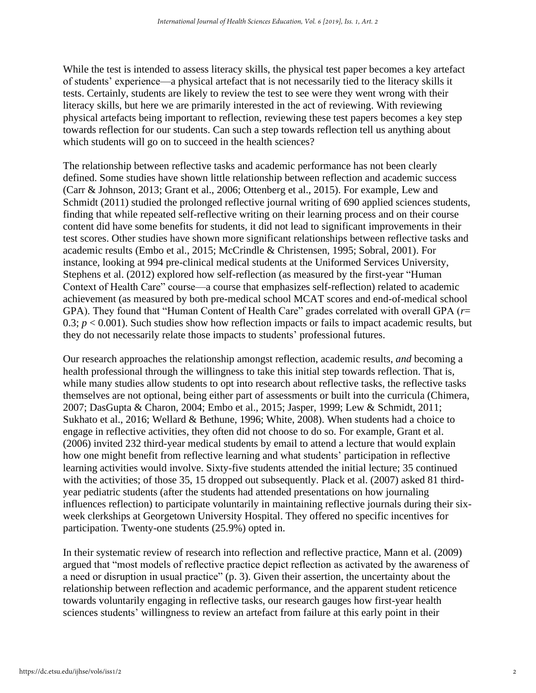While the test is intended to assess literacy skills, the physical test paper becomes a key artefact of students' experience—a physical artefact that is not necessarily tied to the literacy skills it tests. Certainly, students are likely to review the test to see were they went wrong with their literacy skills, but here we are primarily interested in the act of reviewing. With reviewing physical artefacts being important to reflection, reviewing these test papers becomes a key step towards reflection for our students. Can such a step towards reflection tell us anything about which students will go on to succeed in the health sciences?

The relationship between reflective tasks and academic performance has not been clearly defined. Some studies have shown little relationship between reflection and academic success (Carr & Johnson, 2013; Grant et al., 2006; Ottenberg et al., 2015). For example, Lew and Schmidt (2011) studied the prolonged reflective journal writing of 690 applied sciences students, finding that while repeated self-reflective writing on their learning process and on their course content did have some benefits for students, it did not lead to significant improvements in their test scores. Other studies have shown more significant relationships between reflective tasks and academic results (Embo et al., 2015; McCrindle & Christensen, 1995; Sobral, 2001). For instance, looking at 994 pre-clinical medical students at the Uniformed Services University, Stephens et al. (2012) explored how self-reflection (as measured by the first-year "Human Context of Health Care" course—a course that emphasizes self-reflection) related to academic achievement (as measured by both pre-medical school MCAT scores and end-of-medical school GPA). They found that "Human Content of Health Care" grades correlated with overall GPA (*r*= 0.3;  $p < 0.001$ ). Such studies show how reflection impacts or fails to impact academic results, but they do not necessarily relate those impacts to students' professional futures.

Our research approaches the relationship amongst reflection, academic results, *and* becoming a health professional through the willingness to take this initial step towards reflection. That is, while many studies allow students to opt into research about reflective tasks, the reflective tasks themselves are not optional, being either part of assessments or built into the curricula (Chimera, 2007; DasGupta & Charon, 2004; Embo et al., 2015; Jasper, 1999; Lew & Schmidt, 2011; Sukhato et al., 2016; Wellard & Bethune, 1996; White, 2008). When students had a choice to engage in reflective activities, they often did not choose to do so. For example, Grant et al. (2006) invited 232 third-year medical students by email to attend a lecture that would explain how one might benefit from reflective learning and what students' participation in reflective learning activities would involve. Sixty-five students attended the initial lecture; 35 continued with the activities; of those 35, 15 dropped out subsequently. Plack et al. (2007) asked 81 thirdyear pediatric students (after the students had attended presentations on how journaling influences reflection) to participate voluntarily in maintaining reflective journals during their sixweek clerkships at Georgetown University Hospital. They offered no specific incentives for participation. Twenty-one students (25.9%) opted in.

In their systematic review of research into reflection and reflective practice, Mann et al. (2009) argued that "most models of reflective practice depict reflection as activated by the awareness of a need or disruption in usual practice" (p. 3). Given their assertion, the uncertainty about the relationship between reflection and academic performance, and the apparent student reticence towards voluntarily engaging in reflective tasks, our research gauges how first-year health sciences students' willingness to review an artefact from failure at this early point in their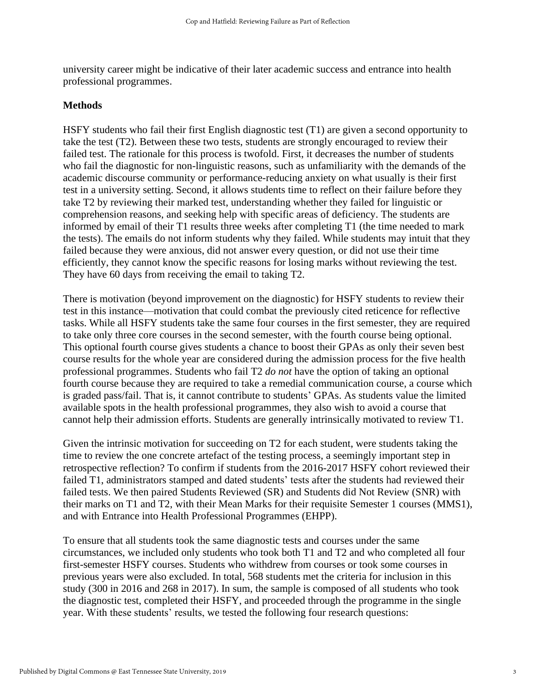university career might be indicative of their later academic success and entrance into health professional programmes.

## **Methods**

HSFY students who fail their first English diagnostic test (T1) are given a second opportunity to take the test (T2). Between these two tests, students are strongly encouraged to review their failed test. The rationale for this process is twofold. First, it decreases the number of students who fail the diagnostic for non-linguistic reasons, such as unfamiliarity with the demands of the academic discourse community or performance-reducing anxiety on what usually is their first test in a university setting. Second, it allows students time to reflect on their failure before they take T2 by reviewing their marked test, understanding whether they failed for linguistic or comprehension reasons, and seeking help with specific areas of deficiency. The students are informed by email of their T1 results three weeks after completing T1 (the time needed to mark the tests). The emails do not inform students why they failed. While students may intuit that they failed because they were anxious, did not answer every question, or did not use their time efficiently, they cannot know the specific reasons for losing marks without reviewing the test. They have 60 days from receiving the email to taking T2.

There is motivation (beyond improvement on the diagnostic) for HSFY students to review their test in this instance—motivation that could combat the previously cited reticence for reflective tasks. While all HSFY students take the same four courses in the first semester, they are required to take only three core courses in the second semester, with the fourth course being optional. This optional fourth course gives students a chance to boost their GPAs as only their seven best course results for the whole year are considered during the admission process for the five health professional programmes. Students who fail T2 *do not* have the option of taking an optional fourth course because they are required to take a remedial communication course, a course which is graded pass/fail. That is, it cannot contribute to students' GPAs. As students value the limited available spots in the health professional programmes, they also wish to avoid a course that cannot help their admission efforts. Students are generally intrinsically motivated to review T1.

Given the intrinsic motivation for succeeding on T2 for each student, were students taking the time to review the one concrete artefact of the testing process, a seemingly important step in retrospective reflection? To confirm if students from the 2016-2017 HSFY cohort reviewed their failed T1, administrators stamped and dated students' tests after the students had reviewed their failed tests. We then paired Students Reviewed (SR) and Students did Not Review (SNR) with their marks on T1 and T2, with their Mean Marks for their requisite Semester 1 courses (MMS1), and with Entrance into Health Professional Programmes (EHPP).

To ensure that all students took the same diagnostic tests and courses under the same circumstances, we included only students who took both T1 and T2 and who completed all four first-semester HSFY courses. Students who withdrew from courses or took some courses in previous years were also excluded. In total, 568 students met the criteria for inclusion in this study (300 in 2016 and 268 in 2017). In sum, the sample is composed of all students who took the diagnostic test, completed their HSFY, and proceeded through the programme in the single year. With these students' results, we tested the following four research questions: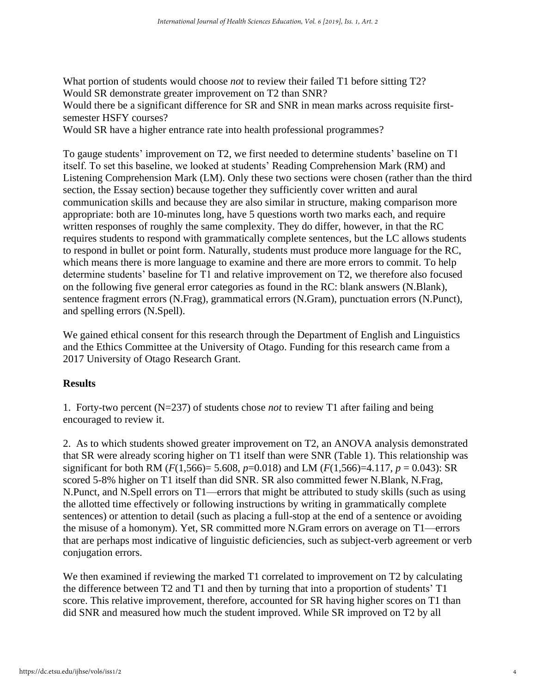What portion of students would choose *not* to review their failed T1 before sitting T2? Would SR demonstrate greater improvement on T2 than SNR?

Would there be a significant difference for SR and SNR in mean marks across requisite firstsemester HSFY courses?

Would SR have a higher entrance rate into health professional programmes?

To gauge students' improvement on T2, we first needed to determine students' baseline on T1 itself. To set this baseline, we looked at students' Reading Comprehension Mark (RM) and Listening Comprehension Mark (LM). Only these two sections were chosen (rather than the third section, the Essay section) because together they sufficiently cover written and aural communication skills and because they are also similar in structure, making comparison more appropriate: both are 10-minutes long, have 5 questions worth two marks each, and require written responses of roughly the same complexity. They do differ, however, in that the RC requires students to respond with grammatically complete sentences, but the LC allows students to respond in bullet or point form. Naturally, students must produce more language for the RC, which means there is more language to examine and there are more errors to commit. To help determine students' baseline for T1 and relative improvement on T2, we therefore also focused on the following five general error categories as found in the RC: blank answers (N.Blank), sentence fragment errors (N.Frag), grammatical errors (N.Gram), punctuation errors (N.Punct), and spelling errors (N.Spell).

We gained ethical consent for this research through the Department of English and Linguistics and the Ethics Committee at the University of Otago. Funding for this research came from a 2017 University of Otago Research Grant.

# **Results**

1. Forty-two percent (N=237) of students chose *not* to review T1 after failing and being encouraged to review it.

2. As to which students showed greater improvement on T2, an ANOVA analysis demonstrated that SR were already scoring higher on T1 itself than were SNR (Table 1). This relationship was significant for both RM ( $F(1,566) = 5.608$ ,  $p=0.018$ ) and LM ( $F(1,566) = 4.117$ ,  $p = 0.043$ ): SR scored 5-8% higher on T1 itself than did SNR. SR also committed fewer N.Blank, N.Frag, N.Punct, and N.Spell errors on T1—errors that might be attributed to study skills (such as using the allotted time effectively or following instructions by writing in grammatically complete sentences) or attention to detail (such as placing a full-stop at the end of a sentence or avoiding the misuse of a homonym). Yet, SR committed more N.Gram errors on average on T1—errors that are perhaps most indicative of linguistic deficiencies, such as subject-verb agreement or verb conjugation errors.

We then examined if reviewing the marked T1 correlated to improvement on T2 by calculating the difference between T2 and T1 and then by turning that into a proportion of students' T1 score. This relative improvement, therefore, accounted for SR having higher scores on T1 than did SNR and measured how much the student improved. While SR improved on T2 by all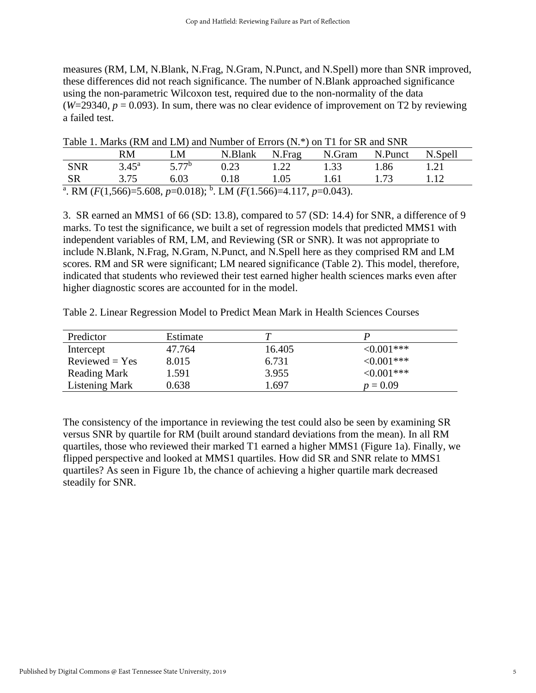measures (RM, LM, N.Blank, N.Frag, N.Gram, N.Punct, and N.Spell) more than SNR improved, these differences did not reach significance. The number of N.Blank approached significance using the non-parametric Wilcoxon test, required due to the non-normality of the data  $(W=29340, p = 0.093)$ . In sum, there was no clear evidence of improvement on T2 by reviewing a failed test.

|                                                                                                         | RM.            | LM                | Table 1. Marks (RM and LM) and Number of Errors (N. <sup>*</sup> ) on 11 for SR and SNR<br>N.Blank | N.Frag | N.Gram | N.Punct | N.Spell |  |  |
|---------------------------------------------------------------------------------------------------------|----------------|-------------------|----------------------------------------------------------------------------------------------------|--------|--------|---------|---------|--|--|
| <b>SNR</b>                                                                                              | $3.45^{\rm a}$ | 5.77 <sup>b</sup> | 0.23                                                                                               | 1.22   | 1.33   | 1.86    | l.21    |  |  |
| -SR                                                                                                     | 3.75           | 6.03              | 0.18                                                                                               | 1.05   | 1.61   | 173     |         |  |  |
| <sup>a</sup> . RM ( $F(1,566)=5.608$ , $p=0.018$ ); <sup>b</sup> . LM ( $F(1.566)=4.117$ , $p=0.043$ ). |                |                   |                                                                                                    |        |        |         |         |  |  |

Table 1. Marks (RM and LM) and Number of Errors (N.\*) on T1 for SR and SNR

3. SR earned an MMS1 of 66 (SD: 13.8), compared to 57 (SD: 14.4) for SNR, a difference of 9 marks. To test the significance, we built a set of regression models that predicted MMS1 with independent variables of RM, LM, and Reviewing (SR or SNR). It was not appropriate to include N.Blank, N.Frag, N.Gram, N.Punct, and N.Spell here as they comprised RM and LM scores. RM and SR were significant; LM neared significance (Table 2). This model, therefore, indicated that students who reviewed their test earned higher health sciences marks even after higher diagnostic scores are accounted for in the model.

Table 2. Linear Regression Model to Predict Mean Mark in Health Sciences Courses

| Predictor             | Estimate |        |             |  |
|-----------------------|----------|--------|-------------|--|
| Intercept             | 47.764   | 16.405 | $<0.001***$ |  |
| $Reviewed = Yes$      | 8.015    | 6.731  | $<0.001***$ |  |
| <b>Reading Mark</b>   | 1.591    | 3.955  | $<0.001***$ |  |
| <b>Listening Mark</b> | 0.638    | .697   | $p = 0.09$  |  |

The consistency of the importance in reviewing the test could also be seen by examining SR versus SNR by quartile for RM (built around standard deviations from the mean). In all RM quartiles, those who reviewed their marked T1 earned a higher MMS1 (Figure 1a). Finally, we flipped perspective and looked at MMS1 quartiles. How did SR and SNR relate to MMS1 quartiles? As seen in Figure 1b, the chance of achieving a higher quartile mark decreased steadily for SNR.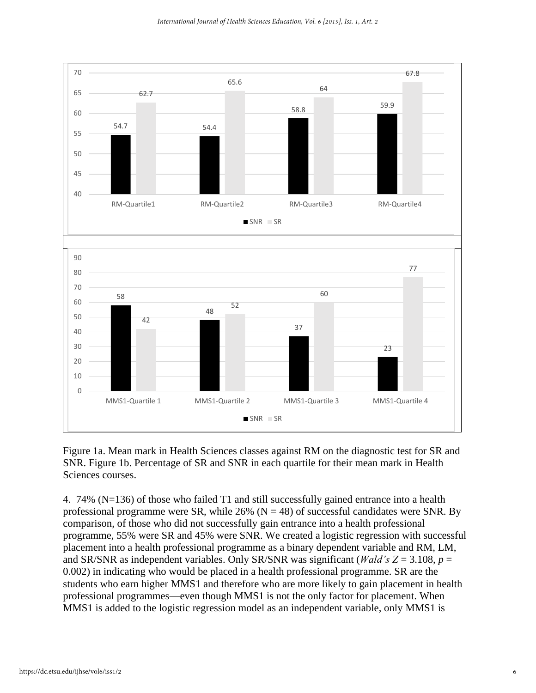

Figure 1a. Mean mark in Health Sciences classes against RM on the diagnostic test for SR and SNR. Figure 1b. Percentage of SR and SNR in each quartile for their mean mark in Health Sciences courses.

4. 74% (N=136) of those who failed T1 and still successfully gained entrance into a health professional programme were SR, while  $26\%$  (N = 48) of successful candidates were SNR. By comparison, of those who did not successfully gain entrance into a health professional programme, 55% were SR and 45% were SNR. We created a logistic regression with successful placement into a health professional programme as a binary dependent variable and RM, LM, and SR/SNR as independent variables. Only SR/SNR was significant (*Wald's Z* = 3.108,  $p =$ 0.002) in indicating who would be placed in a health professional programme. SR are the students who earn higher MMS1 and therefore who are more likely to gain placement in health professional programmes—even though MMS1 is not the only factor for placement. When MMS1 is added to the logistic regression model as an independent variable, only MMS1 is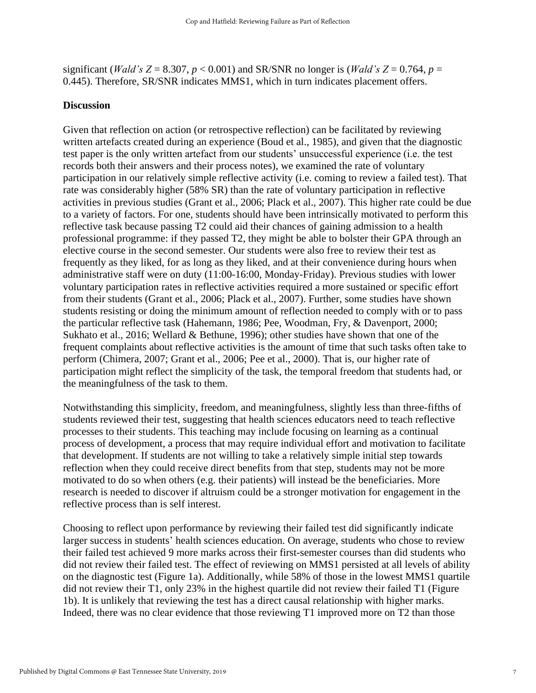significant (*Wald's Z* = 8.307,  $p$  < 0.001) and SR/SNR no longer is (*Wald's Z* = 0.764,  $p$  = 0.445). Therefore, SR/SNR indicates MMS1, which in turn indicates placement offers.

#### **Discussion**

Given that reflection on action (or retrospective reflection) can be facilitated by reviewing written artefacts created during an experience (Boud et al., 1985), and given that the diagnostic test paper is the only written artefact from our students' unsuccessful experience (i.e. the test records both their answers and their process notes), we examined the rate of voluntary participation in our relatively simple reflective activity (i.e. coming to review a failed test). That rate was considerably higher (58% SR) than the rate of voluntary participation in reflective activities in previous studies (Grant et al., 2006; Plack et al., 2007). This higher rate could be due to a variety of factors. For one, students should have been intrinsically motivated to perform this reflective task because passing T2 could aid their chances of gaining admission to a health professional programme: if they passed T2, they might be able to bolster their GPA through an elective course in the second semester. Our students were also free to review their test as frequently as they liked, for as long as they liked, and at their convenience during hours when administrative staff were on duty (11:00-16:00, Monday-Friday). Previous studies with lower voluntary participation rates in reflective activities required a more sustained or specific effort from their students (Grant et al., 2006; Plack et al., 2007). Further, some studies have shown students resisting or doing the minimum amount of reflection needed to comply with or to pass the particular reflective task (Hahemann, 1986; Pee, Woodman, Fry, & Davenport, 2000; Sukhato et al., 2016; Wellard & Bethune, 1996); other studies have shown that one of the frequent complaints about reflective activities is the amount of time that such tasks often take to perform (Chimera, 2007; Grant et al., 2006; Pee et al., 2000). That is, our higher rate of participation might reflect the simplicity of the task, the temporal freedom that students had, or the meaningfulness of the task to them.

Notwithstanding this simplicity, freedom, and meaningfulness, slightly less than three-fifths of students reviewed their test, suggesting that health sciences educators need to teach reflective processes to their students. This teaching may include focusing on learning as a continual process of development, a process that may require individual effort and motivation to facilitate that development. If students are not willing to take a relatively simple initial step towards reflection when they could receive direct benefits from that step, students may not be more motivated to do so when others (e.g. their patients) will instead be the beneficiaries. More research is needed to discover if altruism could be a stronger motivation for engagement in the reflective process than is self interest.

Choosing to reflect upon performance by reviewing their failed test did significantly indicate larger success in students' health sciences education. On average, students who chose to review their failed test achieved 9 more marks across their first-semester courses than did students who did not review their failed test. The effect of reviewing on MMS1 persisted at all levels of ability on the diagnostic test (Figure 1a). Additionally, while 58% of those in the lowest MMS1 quartile did not review their T1, only 23% in the highest quartile did not review their failed T1 (Figure 1b). It is unlikely that reviewing the test has a direct causal relationship with higher marks. Indeed, there was no clear evidence that those reviewing T1 improved more on T2 than those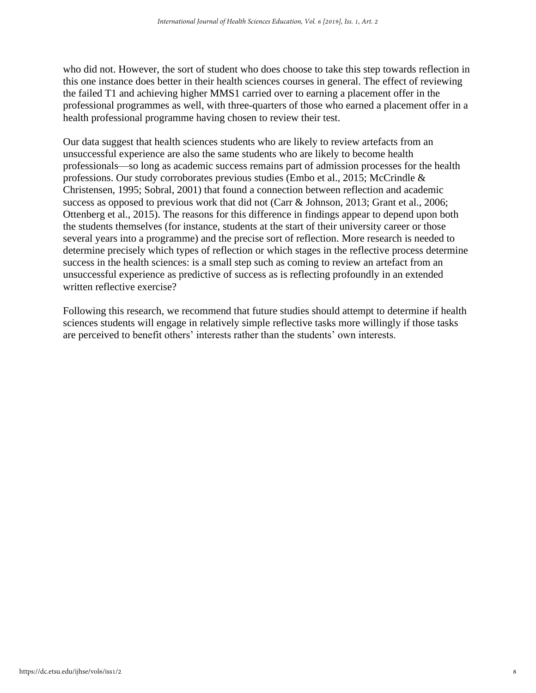who did not. However, the sort of student who does choose to take this step towards reflection in this one instance does better in their health sciences courses in general. The effect of reviewing the failed T1 and achieving higher MMS1 carried over to earning a placement offer in the professional programmes as well, with three-quarters of those who earned a placement offer in a health professional programme having chosen to review their test.

Our data suggest that health sciences students who are likely to review artefacts from an unsuccessful experience are also the same students who are likely to become health professionals—so long as academic success remains part of admission processes for the health professions. Our study corroborates previous studies (Embo et al., 2015; McCrindle & Christensen, 1995; Sobral, 2001) that found a connection between reflection and academic success as opposed to previous work that did not (Carr & Johnson, 2013; Grant et al., 2006; Ottenberg et al., 2015). The reasons for this difference in findings appear to depend upon both the students themselves (for instance, students at the start of their university career or those several years into a programme) and the precise sort of reflection. More research is needed to determine precisely which types of reflection or which stages in the reflective process determine success in the health sciences: is a small step such as coming to review an artefact from an unsuccessful experience as predictive of success as is reflecting profoundly in an extended written reflective exercise?

Following this research, we recommend that future studies should attempt to determine if health sciences students will engage in relatively simple reflective tasks more willingly if those tasks are perceived to benefit others' interests rather than the students' own interests.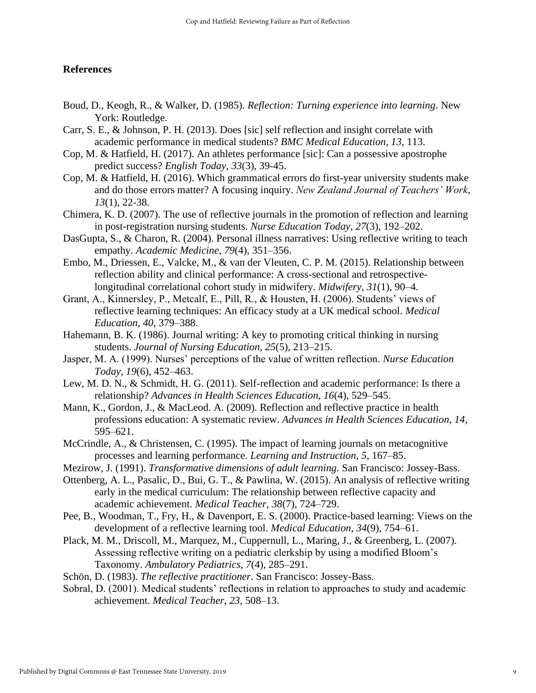## **References**

- Boud, D., Keogh, R., & Walker, D. (1985). *Reflection: Turning experience into learning*. New York: Routledge.
- Carr, S. E., & Johnson, P. H. (2013). Does [sic] self reflection and insight correlate with academic performance in medical students? *BMC Medical Education, 13,* 113.
- Cop, M. & Hatfield, H. (2017). An athletes performance [sic]: Can a possessive apostrophe predict success? *English Today*, *33*(3), 39-45.
- Cop, M. & Hatfield, H. (2016). Which grammatical errors do first-year university students make and do those errors matter? A focusing inquiry. *New Zealand Journal of Teachers' Work*, *13*(1), 22-38.
- Chimera, K. D. (2007). The use of reflective journals in the promotion of reflection and learning in post-registration nursing students. *Nurse Education Today*, *27*(3), 192–202.
- DasGupta, S., & Charon, R. (2004). Personal illness narratives: Using reflective writing to teach empathy. *Academic Medicine, 79*(4), 351–356.
- Embo, M., Driessen, E., Valcke, M., & van der Vleuten, C. P. M. (2015). Relationship between reflection ability and clinical performance: A cross-sectional and retrospectivelongitudinal correlational cohort study in midwifery. *Midwifery, 31*(1), 90–4.
- Grant, A., Kinnersley, P., Metcalf, E., Pill, R., & Housten, H. (2006). Students' views of reflective learning techniques: An efficacy study at a UK medical school. *Medical Education, 40*, 379–388.
- Hahemann, B. K. (1986). Journal writing: A key to promoting critical thinking in nursing students. *Journal of Nursing Education, 25*(5), 213–215.
- Jasper, M. A. (1999). Nurses' perceptions of the value of written reflection. *Nurse Education Today, 19*(6), 452–463.
- Lew, M. D. N., & Schmidt, H. G. (2011). Self-reflection and academic performance: Is there a relationship? *Advances in Health Sciences Education, 16*(4), 529–545.
- Mann, K., Gordon, J., & MacLeod. A. (2009). Reflection and reflective practice in health professions education: A systematic review. *Advances in Health Sciences Education*, *14*, 595–621.
- McCrindle, A., & Christensen, C. (1995). The impact of learning journals on metacognitive processes and learning performance. *Learning and Instruction, 5*, 167–85.
- Mezirow, J. (1991). *Transformative dimensions of adult learning.* San Francisco: Jossey-Bass.
- Ottenberg, A. L., Pasalic, D., Bui, G. T., & Pawlina, W. (2015). An analysis of reflective writing early in the medical curriculum: The relationship between reflective capacity and academic achievement. *Medical Teacher, 38*(7), 724–729.
- Pee, B., Woodman, T., Fry, H., & Davenport, E. S. (2000). Practice-based learning: Views on the development of a reflective learning tool. *Medical Education, 34*(9), 754–61.
- Plack, M. M., Driscoll, M., Marquez, M., Cuppernull, L., Maring, J., & Greenberg, L. (2007). Assessing reflective writing on a pediatric clerkship by using a modified Bloom's Taxonomy. *Ambulatory Pediatrics, 7*(4), 285–291.
- Schön, D. (1983). *The reflective practitioner*. San Francisco: Jossey-Bass.
- Sobral, D. (2001). Medical students' reflections in relation to approaches to study and academic achievement. *Medical Teacher, 23*, 508–13.